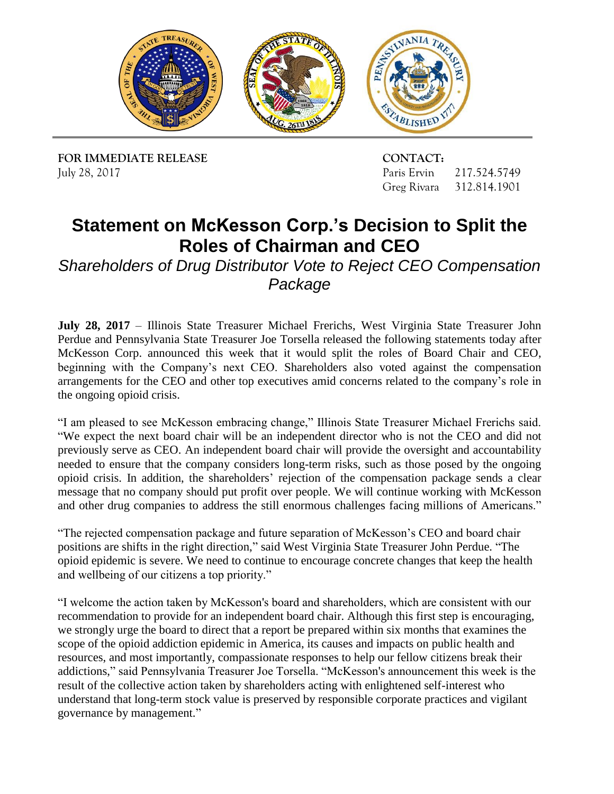

**FOR IMMEDIATE RELEASE CONTACT:** July 28, 2017

Paris Ervin 217.524.5749 Greg Rivara 312.814.1901

## **Statement on McKesson Corp.'s Decision to Split the Roles of Chairman and CEO**

*Shareholders of Drug Distributor Vote to Reject CEO Compensation Package* 

 **July 28, 2017** – Illinois State Treasurer Michael Frerichs, West Virginia State Treasurer John Perdue and Pennsylvania State Treasurer Joe Torsella released the following statements today after McKesson Corp. announced this week that it would split the roles of Board Chair and CEO, arrangements for the CEO and other top executives amid concerns related to the company's role in beginning with the Company's next CEO. Shareholders also voted against the compensation the ongoing opioid crisis.

 "I am pleased to see McKesson embracing change," Illinois State Treasurer Michael Frerichs said. "We expect the next board chair will be an independent director who is not the CEO and did not previously serve as CEO. An independent board chair will provide the oversight and accountability needed to ensure that the company considers long-term risks, such as those posed by the ongoing opioid crisis. In addition, the shareholders' rejection of the compensation package sends a clear message that no company should put profit over people. We will continue working with McKesson and other drug companies to address the still enormous challenges facing millions of Americans."

"The rejected compensation package and future separation of McKesson's CEO and board chair positions are shifts in the right direction," said West Virginia State Treasurer John Perdue. "The opioid epidemic is severe. We need to continue to encourage concrete changes that keep the health and wellbeing of our citizens a top priority."

 governance by management." "I welcome the action taken by McKesson's board and shareholders, which are consistent with our recommendation to provide for an independent board chair. Although this first step is encouraging, we strongly urge the board to direct that a report be prepared within six months that examines the scope of the opioid addiction epidemic in America, its causes and impacts on public health and resources, and most importantly, compassionate responses to help our fellow citizens break their addictions," said Pennsylvania Treasurer Joe Torsella. "McKesson's announcement this week is the result of the collective action taken by shareholders acting with enlightened self-interest who understand that long-term stock value is preserved by responsible corporate practices and vigilant